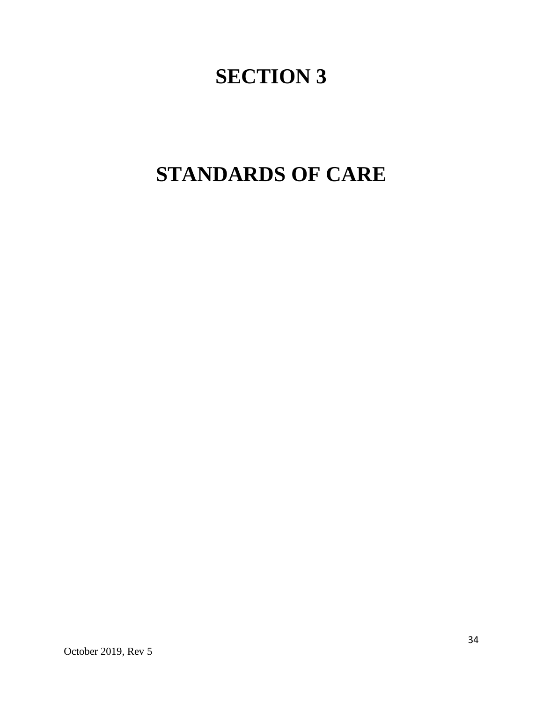# **SECTION 3**

# **STANDARDS OF CARE**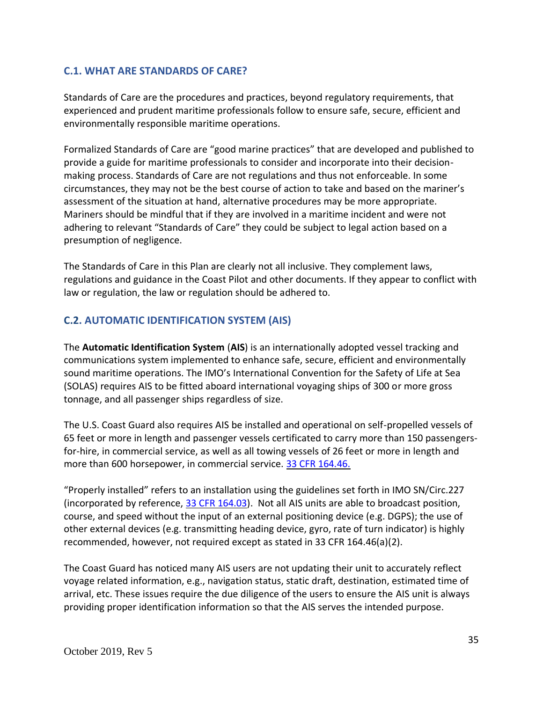# **C.1. WHAT ARE STANDARDS OF CARE?**

Standards of Care are the procedures and practices, beyond regulatory requirements, that experienced and prudent maritime professionals follow to ensure safe, secure, efficient and environmentally responsible maritime operations.

Formalized Standards of Care are "good marine practices" that are developed and published to provide a guide for maritime professionals to consider and incorporate into their decisionmaking process. Standards of Care are not regulations and thus not enforceable. In some circumstances, they may not be the best course of action to take and based on the mariner's assessment of the situation at hand, alternative procedures may be more appropriate. Mariners should be mindful that if they are involved in a maritime incident and were not adhering to relevant "Standards of Care" they could be subject to legal action based on a presumption of negligence.

The Standards of Care in this Plan are clearly not all inclusive. They complement laws, regulations and guidance in the Coast Pilot and other documents. If they appear to conflict with law or regulation, the law or regulation should be adhered to.

# **C.2. AUTOMATIC IDENTIFICATION SYSTEM (AIS)**

The **Automatic Identification System** (**AIS**) is an internationally adopted vessel tracking and communications system implemented to enhance safe, secure, efficient and environmentally sound maritime operations. The IMO's International Convention for the Safety of Life at Sea (SOLAS) requires AIS to be fitted aboard international voyaging ships of 300 or more gross tonnage, and all passenger ships regardless of size.

The U.S. Coast Guard also requires AIS be installed and operational on self-propelled vessels of 65 feet or more in length and passenger vessels certificated to carry more than 150 passengersfor-hire, in commercial service, as well as all towing vessels of 26 feet or more in length and more than 600 horsepower, in commercial service. [33 CFR 164.46.](https://www.law.cornell.edu/cfr/text/33/164.46)

"Properly installed" refers to an installation using the guidelines set forth in IMO SN/Circ.227 (incorporated by reference, [33 CFR 164.03\)](https://www.law.cornell.edu/cfr/text/33/164.03). Not all AIS units are able to broadcast position, course, and speed without the input of an external positioning device (e.g. DGPS); the use of other external devices (e.g. transmitting heading device, gyro, rate of turn indicator) is highly recommended, however, not required except as stated in 33 CFR 164.46(a)(2).

The Coast Guard has noticed many AIS users are not updating their unit to accurately reflect voyage related information, e.g., navigation status, static draft, destination, estimated time of arrival, etc. These issues require the due diligence of the users to ensure the AIS unit is always providing proper identification information so that the AIS serves the intended purpose.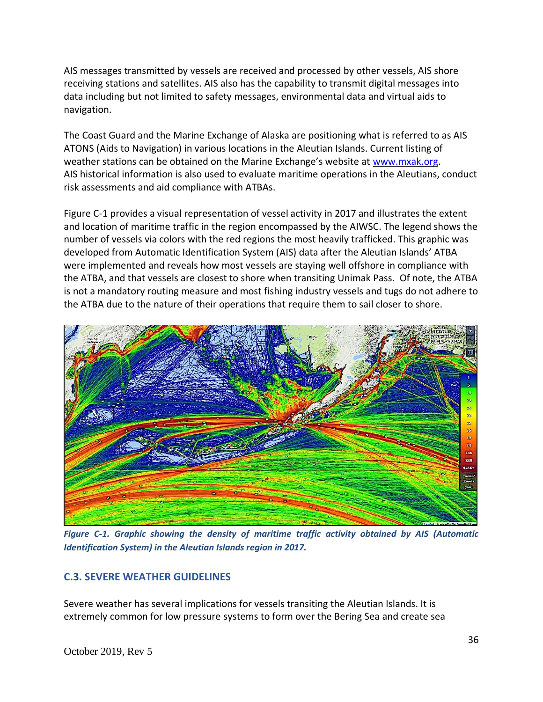AIS messages transmitted by vessels are received and processed by other vessels, AIS shore receiving stations and satellites. AIS also has the capability to transmit digital messages into data including but not limited to safety messages, environmental data and virtual aids to navigation.

The Coast Guard and the Marine Exchange of Alaska are positioning what is referred to as AIS ATONS (Aids to Navigation) in various locations in the Aleutian Islands. Current listing of weather stations can be obtained on the Marine Exchange's website at [www.mxak.org.](http://www.mxak.org/) AIS historical information is also used to evaluate maritime operations in the Aleutians, conduct risk assessments and aid compliance with ATBAs.

Figure C-1 provides a visual representation of vessel activity in 2017 and illustrates the extent and location of maritime traffic in the region encompassed by the AIWSC. The legend shows the number of vessels via colors with the red regions the most heavily trafficked. This graphic was developed from Automatic Identification System (AIS) data after the Aleutian Islands' ATBA were implemented and reveals how most vessels are staying well offshore in compliance with the ATBA, and that vessels are closest to shore when transiting Unimak Pass. Of note, the ATBA is not a mandatory routing measure and most fishing industry vessels and tugs do not adhere to the ATBA due to the nature of their operations that require them to sail closer to shore.



*Figure C-1. Graphic showing the density of maritime traffic activity obtained by AIS (Automatic Identification System) in the Aleutian Islands region in 2017.*

# **C.3. SEVERE WEATHER GUIDELINES**

Severe weather has several implications for vessels transiting the Aleutian Islands. It is extremely common for low pressure systems to form over the Bering Sea and create sea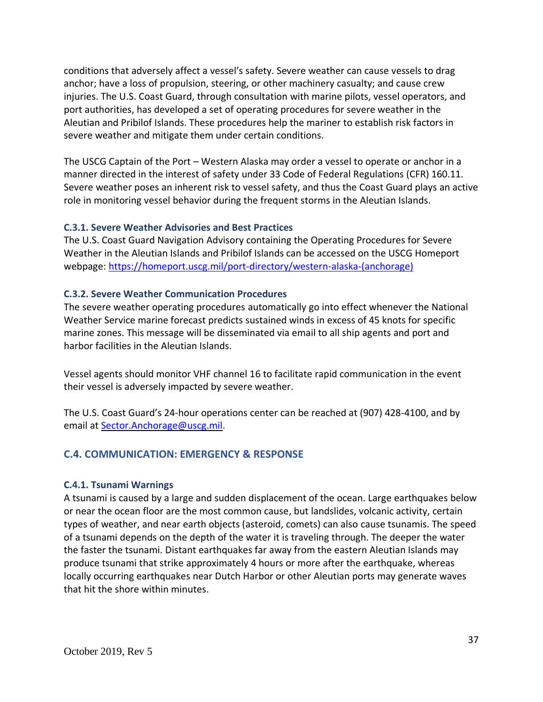conditions that adversely affect a vessel's safety. Severe weather can cause vessels to drag anchor; have a loss of propulsion, steering, or other machinery casualty; and cause crew injuries. The U.S. Coast Guard, through consultation with marine pilots, vessel operators, and port authorities, has developed a set of operating procedures for severe weather in the Aleutian and Pribilof Islands. These procedures help the mariner to establish risk factors in severe weather and mitigate them under certain conditions.

The USCG Captain of the Port – Western Alaska may order a vessel to operate or anchor in a manner directed in the interest of safety under 33 Code of Federal Regulations (CFR) 160.11. Severe weather poses an inherent risk to vessel safety, and thus the Coast Guard plays an active role in monitoring vessel behavior during the frequent storms in the Aleutian Islands.

#### **C.3.1. Severe Weather Advisories and Best Practices**

The U.S. Coast Guard Navigation Advisory containing the Operating Procedures for Severe Weather in the Aleutian Islands and Pribilof Islands can be accessed on the USCG Homeport webpage: [https://homeport.uscg.mil/port-directory/western-alaska-\(anchorage\)](https://homeport.uscg.mil/port-directory/western-alaska-(anchorage))

#### **C.3.2. Severe Weather Communication Procedures**

The severe weather operating procedures automatically go into effect whenever the National Weather Service marine forecast predicts sustained winds in excess of 45 knots for specific marine zones. This message will be disseminated via email to all ship agents and port and harbor facilities in the Aleutian Islands.

Vessel agents should monitor VHF channel 16 to facilitate rapid communication in the event their vessel is adversely impacted by severe weather.

The U.S. Coast Guard's 24-hour operations center can be reached at (907) 428-4100, and by email at [Sector.Anchorage@uscg.mil.](mailto:Sector.Anchorage@uscg.mil)

#### **C.4. COMMUNICATION: EMERGENCY & RESPONSE**

#### **C.4.1. Tsunami Warnings**

A tsunami is caused by a large and sudden displacement of the ocean. Large earthquakes below or near the ocean floor are the most common cause, but landslides, volcanic activity, certain types of weather, and near earth objects (asteroid, comets) can also cause tsunamis. The speed of a tsunami depends on the depth of the water it is traveling through. The deeper the water the faster the tsunami. Distant earthquakes far away from the eastern Aleutian Islands may produce tsunami that strike approximately 4 hours or more after the earthquake, whereas locally occurring earthquakes near Dutch Harbor or other Aleutian ports may generate waves that hit the shore within minutes.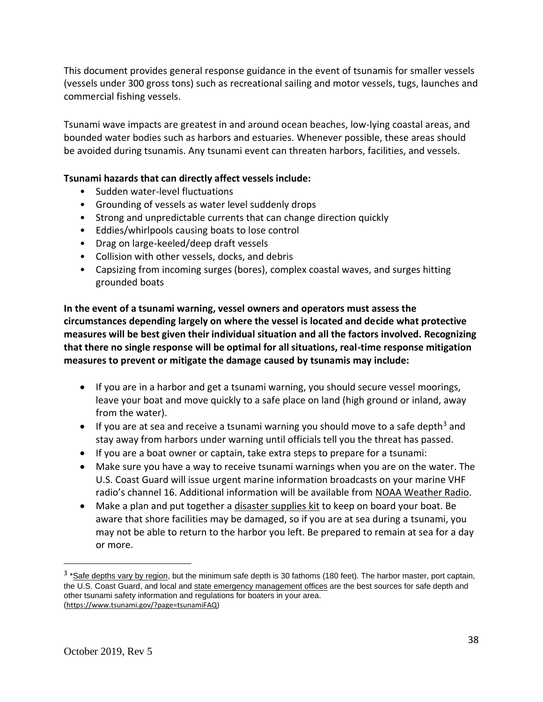This document provides general response guidance in the event of tsunamis for smaller vessels (vessels under 300 gross tons) such as recreational sailing and motor vessels, tugs, launches and commercial fishing vessels.

Tsunami wave impacts are greatest in and around ocean beaches, low-lying coastal areas, and bounded water bodies such as harbors and estuaries. Whenever possible, these areas should be avoided during tsunamis. Any tsunami event can threaten harbors, facilities, and vessels.

# **Tsunami hazards that can directly affect vessels include:**

- Sudden water-level fluctuations
- Grounding of vessels as water level suddenly drops
- Strong and unpredictable currents that can change direction quickly
- Eddies/whirlpools causing boats to lose control
- Drag on large-keeled/deep draft vessels
- Collision with other vessels, docks, and debris
- Capsizing from incoming surges (bores), complex coastal waves, and surges hitting grounded boats

**In the event of a tsunami warning, vessel owners and operators must assess the circumstances depending largely on where the vessel is located and decide what protective measures will be best given their individual situation and all the factors involved. Recognizing that there no single response will be optimal for all situations, real-time response mitigation measures to prevent or mitigate the damage caused by tsunamis may include:**

- If you are in a harbor and get a tsunami warning, you should secure vessel moorings, leave your boat and move quickly to a safe place on land (high ground or inland, away from the water).
- If you are at sea and receive a tsunami warning you should move to a safe depth<sup>3</sup> and stay away from harbors under warning until officials tell you the threat has passed.
- If you are a boat owner or captain, take extra steps to prepare for a tsunami:
- Make sure you have a way to receive tsunami warnings when you are on the water. The U.S. Coast Guard will issue urgent marine information broadcasts on your marine VHF radio's channel 16. Additional information will be available from [NOAA Weather Radio.](http://www.nws.noaa.gov/nwr/)
- Make a plan and put together a [disaster supplies kit](http://www.ready.gov/build-a-kit) to keep on board your boat. Be aware that shore facilities may be damaged, so if you are at sea during a tsunami, you may not be able to return to the harbor you left. Be prepared to remain at sea for a day or more.

 $3$  [\\*Safe depths vary by region,](https://nws.weather.gov/nthmp/documents/GuidanceforSafeMinimumOffshoreDepthforVesselMovement.pdf) but the minimum safe depth is 30 fathoms (180 feet). The harbor master, port captain, the U.S. Coast Guard, and local and [state emergency management offices](http://www.fema.gov/emergency-management-agencies) are the best sources for safe depth and other tsunami safety information and regulations for boaters in your area. ([https://www.tsunami.gov/?page=tsunamiFAQ\)](https://www.tsunami.gov/?page=tsunamiFAQ)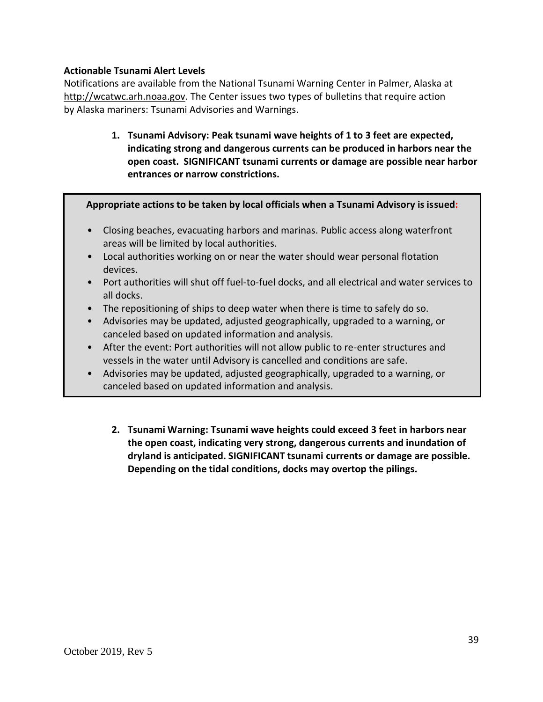### **Actionable Tsunami Alert Levels**

Notifications are available from the National Tsunami Warning Center in Palmer, Alaska at [http://wcatwc.arh.noaa.gov.](http://wcatwc.arh.noaa.gov/) The Center issues two types of bulletins that require action by Alaska mariners: Tsunami Advisories and Warnings.

> **1. Tsunami Advisory: Peak tsunami wave heights of 1 to 3 feet are expected, indicating strong and dangerous currents can be produced in harbors near the open coast. SIGNIFICANT tsunami currents or damage are possible near harbor entrances or narrow constrictions.**

**Appropriate actions to be taken by local officials when a Tsunami Advisory is issued:** 

- Closing beaches, evacuating harbors and marinas. Public access along waterfront areas will be limited by local authorities.
- Local authorities working on or near the water should wear personal flotation devices.
- Port authorities will shut off fuel-to-fuel docks, and all electrical and water services to all docks.
- The repositioning of ships to deep water when there is time to safely do so.
- Advisories may be updated, adjusted geographically, upgraded to a warning, or canceled based on updated information and analysis.
- After the event: Port authorities will not allow public to re-enter structures and vessels in the water until Advisory is cancelled and conditions are safe.
- Advisories may be updated, adjusted geographically, upgraded to a warning, or canceled based on updated information and analysis.
	- **2. Tsunami Warning: Tsunami wave heights could exceed 3 feet in harbors near the open coast, indicating very strong, dangerous currents and inundation of dryland is anticipated. SIGNIFICANT tsunami currents or damage are possible. Depending on the tidal conditions, docks may overtop the pilings.**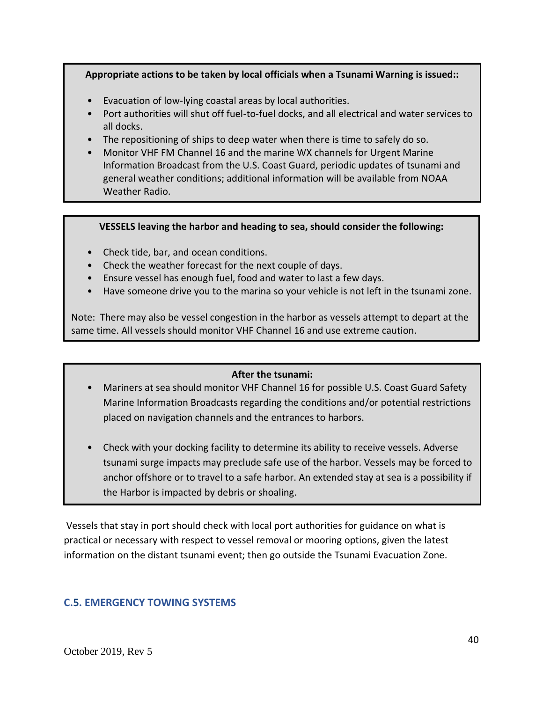#### **Appropriate actions to be taken by local officials when a Tsunami Warning is issued::**

- Evacuation of low-lying coastal areas by local authorities.
- Port authorities will shut off fuel-to-fuel docks, and all electrical and water services to all docks.
- The repositioning of ships to deep water when there is time to safely do so.
- Monitor VHF FM Channel 16 and the marine WX channels for Urgent Marine Information Broadcast from the U.S. Coast Guard, periodic updates of tsunami and general weather conditions; additional information will be available from NOAA Weather Radio.

### **VESSELS leaving the harbor and heading to sea, should consider the following:**

- Check tide, bar, and ocean conditions.
- Check the weather forecast for the next couple of days.
- Ensure vessel has enough fuel, food and water to last a few days.
- Have someone drive you to the marina so your vehicle is not left in the tsunami zone.

Note: There may also be vessel congestion in the harbor as vessels attempt to depart at the same time. All vessels should monitor VHF Channel 16 and use extreme caution.

# **After the tsunami:**

- Mariners at sea should monitor VHF Channel 16 for possible U.S. Coast Guard Safety Marine Information Broadcasts regarding the conditions and/or potential restrictions placed on navigation channels and the entrances to harbors.
- Check with your docking facility to determine its ability to receive vessels. Adverse tsunami surge impacts may preclude safe use of the harbor. Vessels may be forced to anchor offshore or to travel to a safe harbor. An extended stay at sea is a possibility if the Harbor is impacted by debris or shoaling.

Vessels that stay in port should check with local port authorities for guidance on what is practical or necessary with respect to vessel removal or mooring options, given the latest information on the distant tsunami event; then go outside the Tsunami Evacuation Zone.

# **C.5. EMERGENCY TOWING SYSTEMS**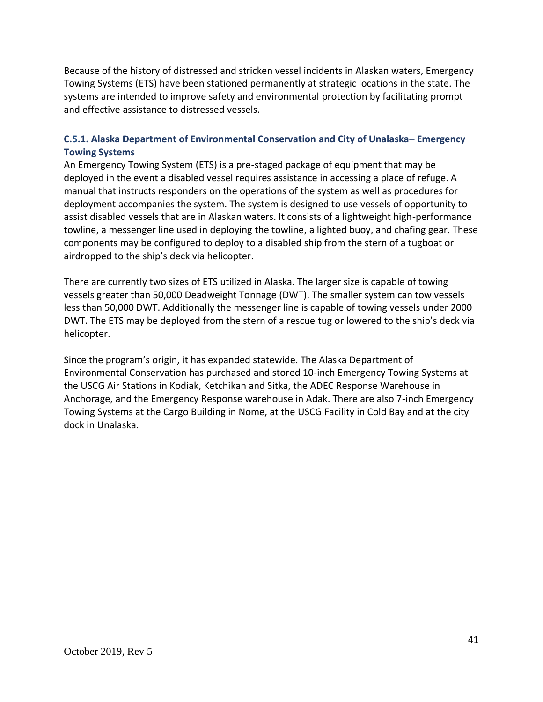Because of the history of distressed and stricken vessel incidents in Alaskan waters, Emergency Towing Systems (ETS) have been stationed permanently at strategic locations in the state. The systems are intended to improve safety and environmental protection by facilitating prompt and effective assistance to distressed vessels.

# **C.5.1. Alaska Department of Environmental Conservation and City of Unalaska– Emergency Towing Systems**

An Emergency Towing System (ETS) is a pre-staged package of equipment that may be deployed in the event a disabled vessel requires assistance in accessing a place of refuge. A manual that instructs responders on the operations of the system as well as procedures for deployment accompanies the system. The system is designed to use vessels of opportunity to assist disabled vessels that are in Alaskan waters. It consists of a lightweight high-performance towline, a messenger line used in deploying the towline, a lighted buoy, and chafing gear. These components may be configured to deploy to a disabled ship from the stern of a tugboat or airdropped to the ship's deck via helicopter.

There are currently two sizes of ETS utilized in Alaska. The larger size is capable of towing vessels greater than 50,000 Deadweight Tonnage (DWT). The smaller system can tow vessels less than 50,000 DWT. Additionally the messenger line is capable of towing vessels under 2000 DWT. The ETS may be deployed from the stern of a rescue tug or lowered to the ship's deck via helicopter.

Since the program's origin, it has expanded statewide. The Alaska Department of Environmental Conservation has purchased and stored 10-inch Emergency Towing Systems at the USCG Air Stations in Kodiak, Ketchikan and Sitka, the ADEC Response Warehouse in Anchorage, and the Emergency Response warehouse in Adak. There are also 7-inch Emergency Towing Systems at the Cargo Building in Nome, at the USCG Facility in Cold Bay and at the city dock in Unalaska.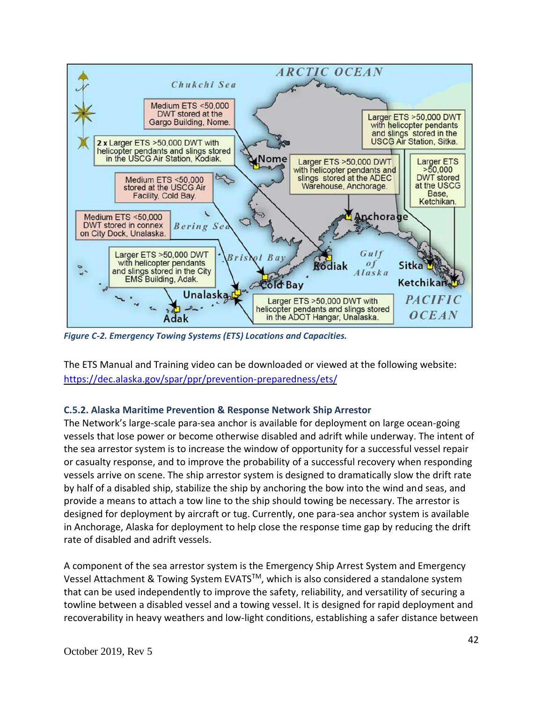

*Figure C-2. Emergency Towing Systems (ETS) Locations and Capacities.*

The ETS Manual and Training video can be downloaded or viewed at the following website: <https://dec.alaska.gov/spar/ppr/prevention-preparedness/ets/>

#### **C.5.2. Alaska Maritime Prevention & Response Network Ship Arrestor**

The Network's large-scale para-sea anchor is available for deployment on large ocean-going vessels that lose power or become otherwise disabled and adrift while underway. The intent of the sea arrestor system is to increase the window of opportunity for a successful vessel repair or casualty response, and to improve the probability of a successful recovery when responding vessels arrive on scene. The ship arrestor system is designed to dramatically slow the drift rate by half of a disabled ship, stabilize the ship by anchoring the bow into the wind and seas, and provide a means to attach a tow line to the ship should towing be necessary. The arrestor is designed for deployment by aircraft or tug. Currently, one para-sea anchor system is available in Anchorage, Alaska for deployment to help close the response time gap by reducing the drift rate of disabled and adrift vessels.

A component of the sea arrestor system is the Emergency Ship Arrest System and Emergency Vessel Attachment & Towing System EVATS<sup>™</sup>, which is also considered a standalone system that can be used independently to improve the safety, reliability, and versatility of securing a towline between a disabled vessel and a towing vessel. It is designed for rapid deployment and recoverability in heavy weathers and low-light conditions, establishing a safer distance between